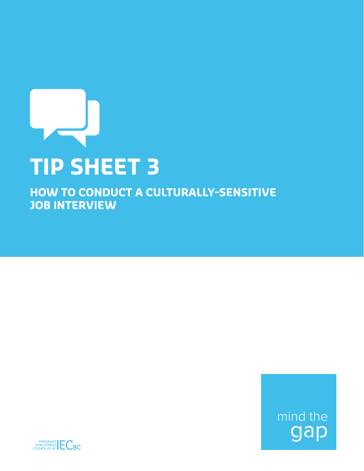

**HOW TO CONDUCT A CULTURALLY-SENSITIVE JOB INTERVIEW** 



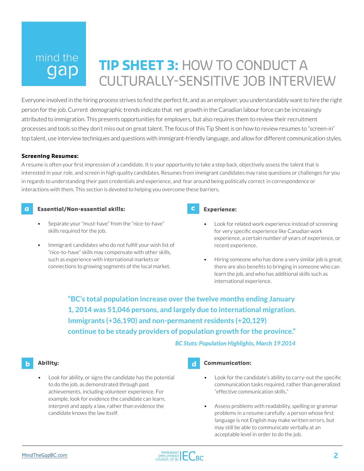## mind the **TIP SHEET 3:** HOW TO CONDUCT A gap CULTURALLY-SENSITIVE JOB INTERVIEW

Everyone involved in the hiring process strives to find the perfect fit, and as an employer, you understandably want to hire the right person for the job. Current demographic trends indicate that net growth in the Canadian labour force can be increasingly attributed to immigration. This presents opportunities for employers, but also requires them to review their recruitment processes and tools so they don't miss out on great talent. The focus of this Tip Sheet is on how to review resumes to "screen-in" top talent, use interview techniques and questions with immigrant-friendly language, and allow for different communication styles.

## **Screening Resumes:**

A resume is often your first impression of a candidate. It is your opportunity to take a step back, objectively assess the talent that is interested in your role, and screen in high quality candidates. Resumes from immigrant candidates may raise questions or challenges for you in regards to understanding their past credentials and experience, and fear around being politically correct in correspondence or interactions with them. This section is devoted to helping you overcome these barriers.

#### **Essential/Non-essential skills: a**

- Separate your "must-have" from the "nice-to-have" skills required for the job.
- Immigrant candidates who do not fulfill your wish list of "nice-to-have" skills may compensate with other skills, such as experience with international markets or connections to growing segments of the local market.



- Look for related work experience instead of screening for very specific experience like Canadian work experience, a certain number of years of experience, or recent experience.
- Hiring someone who has done a very similar job is great; there are also benefits to bringing in someone who can learn the job, and who has additional skills such as international experience.

**"BC's total population increase over the twelve months ending January 1, 2014 was 51,046 persons, and largely due to international migration. Immigrants (+36,190) and non-permanent residents (+20,129) continue to be steady providers of population growth for the province."** *BC Stats: Population Highlights, March 19 2014*

#### **Ability: b**

• Look for ability, or signs the candidate has the potential to do the job, as demonstrated through past achievements, including volunteer experience. For example, look for evidence the candidate can learn, interpret and apply a law, rather than evidence the candidate knows the law itself.

#### **d Communication:**

- Look for the candidate's ability to carry-out the specific communication tasks required, rather than generalized "effective communication skills."
- Assess problems with readability, spelling or grammar problems in a resume carefully: a person whose first language is not English may make written errors, but may still be able to communicate verbally at an acceptable level in order to do the job.

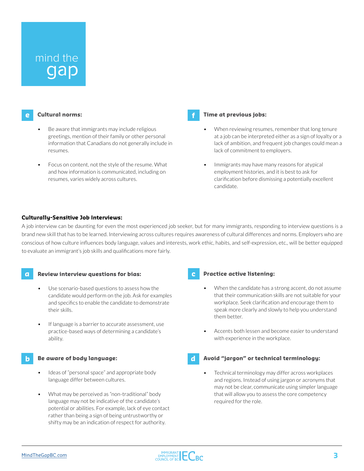# mind the

## **Cultural norms:**

- Be aware that immigrants may include religious greetings, mention of their family or other personal information that Canadians do not generally include in resumes.
- Focus on content, not the style of the resume. What and how information is communicated, including on resumes, varies widely across cultures.



### **e Time at previous jobs:**

- When reviewing resumes, remember that long tenure at a job can be interpreted either as a sign of loyalty or a lack of ambition, and frequent job changes could mean a lack of commitment to employers.
- Immigrants may have many reasons for atypical employment histories, and it is best to ask for clarification before dismissing a potentially excellent candidate.

## **Culturally-Sensitive Job Interviews:**

A job interview can be daunting for even the most experienced job seeker, but for many immigrants, responding to interview questions is a brand new skill that has to be learned. Interviewing across cultures requires awareness of cultural differences and norms. Employers who are conscious of how culture influences body language, values and interests, work ethic, habits, and self-expression, etc., will be better equipped to evaluate an immigrant's job skills and qualifications more fairly.

#### **Review interview questions for bias: a**

- Use scenario-based questions to assess how the candidate would perform on the job. Ask for examples and specifics to enable the candidate to demonstrate their skills.
- If language is a barrier to accurate assessment, use practice-based ways of determining a candidate's ability.

## **Be aware of body language: b d**

- Ideas of "personal space" and appropriate body language differ between cultures.
- What may be perceived as "non-traditional" body language may not be indicative of the candidate's potential or abilities. For example, lack of eye contact rather than being a sign of being untrustworthy or shifty may be an indication of respect for authority.

## **c Practice active listening:**

- When the candidate has a strong accent, do not assume that their communication skills are not suitable for your workplace. Seek clarification and encourage them to speak more clearly and slowly to help you understand them better.
- Accents both lessen and become easier to understand with experience in the workplace.

## **Avoid "jargon" or technical terminology:**

Technical terminology may differ across workplaces and regions. Instead of using jargon or acronyms that may not be clear, communicate using simpler language that will allow you to assess the core competency required for the role.